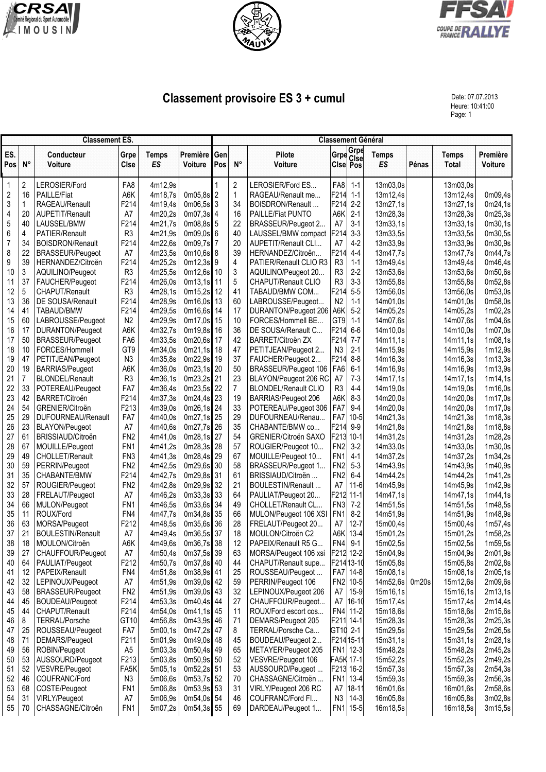





## **Classement provisoire ES 3 + cumul** Date: 07.07.2013

Heure: 10:41:00 Page: 1

|             | <b>Classement ES.</b> |                                          |                                    |                           |                            |            |                 | <b>Classement Général</b>                |                                    |                       |                           |       |                       |                     |  |  |  |
|-------------|-----------------------|------------------------------------------|------------------------------------|---------------------------|----------------------------|------------|-----------------|------------------------------------------|------------------------------------|-----------------------|---------------------------|-------|-----------------------|---------------------|--|--|--|
| ES.<br>Pos  | $N^{\circ}$           | Conducteur<br><b>Voiture</b>             | Grpe<br><b>CIse</b>                | <b>Temps</b><br><b>ES</b> | Première<br><b>Voiture</b> | Gen<br>Pos | $N^{\circ}$     | Pilote<br>Voiture                        |                                    | Grpe Grpe<br>Cise Pos | <b>Temps</b><br><b>ES</b> | Pénas | <b>Temps</b><br>Total | Première<br>Voiture |  |  |  |
| $\mathbf 1$ | 2                     | LEROSIER/Ford                            | FA8                                | 4m12,9s                   |                            |            | 2               | LEROSIER/Ford ES                         | FA8                                | $1 - 1$               | 13m03,0s                  |       | 13m03,0s              |                     |  |  |  |
| $\sqrt{2}$  | 16                    | <b>PAILLE/Fiat</b>                       | A6K                                | 4m18,7s                   | $0m05,8s$ 2                |            | $\mathbf{1}$    | RAGEAU/Renault me                        | F214                               | $1 - 1$               | 13m12,4s                  |       | 13m12,4s              | 0m09,4s             |  |  |  |
| 3           | 1                     | RAGEAU/Renault                           | F214                               | 4m19,4s                   | $0m06,5s$ 3                |            | 34              | BOISDRON/Renault                         | F214                               | $2-2$                 | 13m27,1s                  |       | 13m27,1s              | 0m24,1s             |  |  |  |
| 4           | 20                    | AUPETIT/Renault                          | A7                                 | 4m20,2s                   | $0m07,3s$ 4                |            | 16              | PAILLE/Fiat PUNTO                        | A6K                                | $2 - 1$               | 13m28,3s                  |       | 13m28,3s              | 0m25,3s             |  |  |  |
| 5           | 40                    | LAUSSEL/BMW                              | F214                               | 4m21,7s                   | $0m08,8s$ 5                |            | 22              | BRASSEUR/Peugeot 2                       | A7                                 | $3-1$                 | 13m33,1s                  |       | 13m33,1s              | 0m30,1s             |  |  |  |
| 6           | 4                     | PATIER/Renault                           | R <sub>3</sub>                     | 4m21,9s                   | $0m09,0s$ 6                |            | 40              | LAUSSEL/BMW compact                      | F214                               | $3-3$                 | 13m33,5s                  |       | 13m33,5s              | 0m30,5s             |  |  |  |
| 7           | 34                    | <b>BOISDRON/Renault</b>                  | F214                               | 4m22,6s                   | 0m09,7s 7                  |            | 20              | AUPETIT/Renault CLI                      | A7                                 | $4-2$                 | 13m33,9s                  |       | 13m33,9s              | 0m30,9s             |  |  |  |
| 8           | 22                    | <b>BRASSEUR/Peugeot</b>                  | A7                                 | 4m23,5s                   | $0m10,6s$ 8                |            | 39              | HERNANDEZ/Citroën                        | F214                               | $4 - 4$               | 13m47,7s                  |       | 13m47,7s              | 0m44,7s             |  |  |  |
| 9           | 39                    | HERNANDEZ/Citroën                        | F214                               | 4m25,2s                   | $0m12,3s$ 9                |            | 4               | PATIER/Renault CLIO R3                   | R <sub>3</sub>                     | $1 - 1$               | 13m49,4s                  |       | 13m49,4s              | 0m46,4s             |  |  |  |
| 10          | 3<br>37               | AQUILINO/Peugeot                         | R <sub>3</sub>                     | 4m25,5s                   | $0m12,6s$ 10               |            | $\sqrt{3}$<br>5 | AQUILINO/Peugeot 20                      | R <sub>3</sub><br>R <sub>3</sub>   | $2-2$<br>$3-3$        | 13m53,6s                  |       | 13m53,6s              | 0m50,6s             |  |  |  |
| 11<br>12    | 5                     | FAUCHER/Peugeot<br>CHAPUT/Renault        | F214<br>R <sub>3</sub>             | 4m26,0s<br>4m28,1s        | $0m13,1s$ 11<br>0m15,2s 12 |            | 41              | CHAPUT/Renault CLIO<br>TABAUD/BMW COM    | F214                               | $5-5$                 | 13m55,8s<br>13m56,0s      |       | 13m55,8s<br>13m56,0s  | 0m52,8s<br>0m53,0s  |  |  |  |
| 13          | 36                    | DE SOUSA/Renault                         | F214                               | 4m28,9s                   | 0m16,0s                    | 13         | 60              | LABROUSSE/Peugeot                        | N <sub>2</sub>                     | $1 - 1$               | 14m01,0s                  |       | 14m01.0s              | 0m58,0s             |  |  |  |
| 14          | 41                    | TABAUD/BMW                               | F214                               | 4m29,5s                   | 0m16,6s                    | 14         | 17              | DURANTON/Peugeot 206 A6K                 |                                    | $5-2$                 | 14m05,2s                  |       | 14m05,2s              | 1m02,2s             |  |  |  |
| 15          | 60                    | LABROUSSE/Peugeot                        | N <sub>2</sub>                     | 4m29,9s                   | 0m17,0s                    | 15         | 10              | FORCES/Hommell BE                        | GT9                                | $1 - 1$               | 14m07,6s                  |       | 14m07,6s              | 1m04,6s             |  |  |  |
| 16          | 17                    | DURANTON/Peugeot                         | A6K                                | 4m32,7s                   | 0m19,8s 16                 |            | 36              | DE SOUSA/Renault C                       | F214                               | $6-6$                 | 14m10,0s                  |       | 14m10.0s              | 1m07,0s             |  |  |  |
| 17          | 50                    | <b>BRASSEUR/Peugeot</b>                  | FA <sub>6</sub>                    | 4m33,5s                   | 0m20,6s 17                 |            | 42              | BARRET/Citroën ZX                        | F214                               | $7 - 7$               | 14m11,1s                  |       | 14m11,1s              | 1m08,1s             |  |  |  |
| 18          | 10                    | FORCES/Hommell                           | GT <sub>9</sub>                    | 4m34,0s                   | $0m21,1s$ 18               |            | 47              | PETITJEAN/Peugeot 2                      | N <sub>3</sub>                     | $2 - 1$               | 14m15,9s                  |       | 14m15,9s              | 1m12,9s             |  |  |  |
| 19          | 47                    | PETITJEAN/Peugeot                        | N <sub>3</sub>                     | 4m35,8s                   | 0m22,9s 19                 |            | 37              | FAUCHER/Peugeot 2                        | F214                               | $8 - 8$               | 14m16,3s                  |       | 14m16,3s              | 1m13,3s             |  |  |  |
| 20          | 19                    | <b>BARRIAS/Peugeot</b>                   | A6K                                | 4m36,0s                   | $0m23,1s$ 20               |            | 50              | BRASSEUR/Peugeot 106                     | FA <sub>6</sub>                    | $6-1$                 | 14m16,9s                  |       | 14m16,9s              | 1m13,9s             |  |  |  |
| 21          | 7                     | <b>BLONDEL/Renault</b>                   | R <sub>3</sub>                     | 4m36,1s                   | 0m23,2s 21                 |            | 23              | BLAYON/Peugeot 206 RC                    | A7                                 | $7 - 3$               | 14m17,1s                  |       | 14m17,1s              | 1m14,1s             |  |  |  |
| 22          | 33                    | POTEREAU/Peugeot                         | FA7                                | 4m36,4s                   | 0m23,5s 22                 |            | $\overline{7}$  | <b>BLONDEL/Renault CLIO</b>              | R <sub>3</sub>                     | $4 - 4$               | 14m19,0s                  |       | 14m19,0s              | 1m16,0s             |  |  |  |
| 23          | 42                    | BARRET/Citroën                           | F214                               | 4m37,3s                   | $0m24.4s$ 23               |            | 19              | BARRIAS/Peugeot 206                      | A6K                                | $8-3$                 | 14m20,0s                  |       | 14m20,0s              | 1m17,0s             |  |  |  |
| 24          | 54                    | GRENIER/Citroën                          | F213                               | 4m39,0s                   | $0m26,1s$ 24               |            | 33              | POTEREAU/Peugeot 306                     | FA7                                | $9 - 4$               | 14m20,0s                  |       | 14m20,0s              | 1m17,0s             |  |  |  |
| 25          | 29                    | DUFOURNEAU/Renault                       | FA7                                | 4m40,0s                   | 0m27,1s 25                 |            | 29              | DUFOURNEAU/Renau                         | FA7                                | $10 - 5$              | 14m21,3s                  |       | 14m21,3s              | 1m18,3s             |  |  |  |
| 26          | 23                    | <b>BLAYON/Peugeot</b>                    | A7                                 | 4m40,6s                   | 0m27,7s 26                 |            | 35              | CHABANTE/BMW co                          | F214                               | $9-9$                 | 14m21,8s                  |       | 14m21,8s              | 1m18,8s             |  |  |  |
| 27          | 61                    | BRISSIAUD/Citroën                        | FN <sub>2</sub>                    | 4m41,0s                   | 0m28,1s 27                 |            | 54              | GRENIER/Citroën SAXO                     | F213 10-1                          |                       | 14m31,2s                  |       | 14m31,2s              | 1m28,2s             |  |  |  |
| 28          | 67                    | MOUILLE/Peugeot                          | FN <sub>1</sub>                    | 4m41,2s                   | 0m28,3s 28                 |            | 57              | ROUGIER/Peugeot 10                       | FN <sub>2</sub>                    | $3-2$                 | 14m33,0s                  |       | 14m33,0s              | 1m30,0s             |  |  |  |
| 29<br>30    | 49<br>59              | <b>CHOLLET/Renault</b><br>PERRIN/Peugeot | FN <sub>3</sub><br>FN <sub>2</sub> | 4m41,3s<br>4m42,5s        | 0m28,4s 29<br>0m29,6s 30   |            | 67<br>58        | MOUILLE/Peugeot 10<br>BRASSEUR/Peugeot 1 | FN <sub>1</sub><br>FN <sub>2</sub> | $4-1$<br>$5-3$        | 14m37,2s<br>14m43,9s      |       | 14m37,2s              | 1m34,2s<br>1m40,9s  |  |  |  |
| 31          | 35                    | CHABANTE/BMW                             | F214                               | 4m42,7s                   | 0m29,8s 31                 |            | 61              | BRISSIAUD/Citroën                        | FN2                                | $6-4$                 | 14m44,2s                  |       | 14m43,9s<br>14m44,2s  | 1m41,2s             |  |  |  |
| 32          | 57                    | ROUGIER/Peugeot                          | FN <sub>2</sub>                    | 4m42,8s                   | 0m29,9s 32                 |            | 21              | BOULESTIN/Renault                        | A7                                 | $11-6$                | 14m45,9s                  |       | 14m45,9s              | 1m42,9s             |  |  |  |
| 33          | 28                    | FRELAUT/Peugeot                          | A7                                 | 4m46,2s                   | $0m33,3s$ 33               |            | 64              | PAULIAT/Peugeot 20                       | F212 11-1                          |                       | 14m47,1s                  |       | 14m47,1s              | 1m44,1s             |  |  |  |
| 34          | 66                    | MULON/Peugeot                            | FN <sub>1</sub>                    | 4m46.5s                   | 0m33,6s 34                 |            | 49              | CHOLLET/Renault CL                       | FN <sub>3</sub>                    | $7-2$                 | 14m51,5s                  |       | 14m51,5s              | 1m48,5s             |  |  |  |
| 35          | 11                    | ROUX/Ford                                | FN4                                | 4m47,7s                   | 0m34,8s 35                 |            | 66              | MULON/Peugeot 106 XSI                    | FN <sub>1</sub>                    | $8 - 2$               | 14m51,9s                  |       | 14m51,9s              | 1m48,9s             |  |  |  |
| 36          | 63                    | MORSA/Peugeot                            | F212                               | 4m48,5s                   | $0m35,6s$ 36               |            | 28              | FRELAUT/Peugeot 20                       | A7                                 | $12 - 7$              | 15m00,4s                  |       | 15m00,4s              | 1m57,4s             |  |  |  |
| 37          | 21                    | <b>BOULESTIN/Renault</b>                 | A7                                 | 4m49,4s                   | 0m36,5s 37                 |            | 18              | MOULON/Citroën C2                        | A6K                                | $13 - 4$              | 15m01,2s                  |       | 15m01,2s              | 1m58,2s             |  |  |  |
| 38          | 18                    | MOULON/Citroën                           | A6K                                | 4m49,6s                   | 0m36,7s 38                 |            | 12              | PAPEIX/Renault R5 G                      | FN4                                | $9 - 1$               | 15m02,5s                  |       | 15m02,5s              | 1m59,5s             |  |  |  |
| 39          | 27                    | CHAUFFOUR/Peugeot                        | A7                                 | 4m50,4s                   | 0m37,5s 39                 |            | 63              | MORSA/Peugeot 106 xsi                    |                                    | F212 12-2             | 15m04,9s                  |       | 15m04,9s              | 2m01,9s             |  |  |  |
| 40          | 64                    | PAULIAT/Peugeot                          | F212                               | 4m50,7s                   | 0m37,8s 40                 |            | 44              | CHAPUT/Renault supe                      |                                    | F21413-10             | 15m05,8s                  |       | 15m05,8s              | 2m02,8s             |  |  |  |
| 41          | 12                    | PAPEIX/Renault                           | FN4                                | 4m51,8s                   | 0m38,9s 41                 |            | 25              | ROUSSEAU/Peugeot                         |                                    | FA7 14-8              | 15m08,1s                  |       | 15m08,1s              | 2m05,1s             |  |  |  |
| 42          | 32                    | LEPINOUX/Peugeot                         | A7                                 | 4m51,9s                   | 0m39,0s 42                 |            | 59              | PERRIN/Peugeot 106                       |                                    | FN2 10-5              | 14m52,6s                  | 0m20s | 15m12,6s              | 2m09,6s             |  |  |  |
| 43          | 58                    | <b>BRASSEUR/Peugeot</b>                  | FN <sub>2</sub>                    | 4m51,9s                   | 0m39,0s 43                 |            | 32              | LEPINOUX/Peugeot 206                     | A7                                 | $15-9$                | 15m16,1s                  |       | 15m16,1s              | 2m13,1s             |  |  |  |
| 44          | 45                    | <b>BOUDEAU/Peugeot</b>                   | F214                               | 4m53,3s                   | 0m40,4s 44                 |            | 27              | CHAUFFOUR/Peugeot                        | A7                                 | 16-10                 | 15m17,4s                  |       | 15m17,4s              | 2m14,4s             |  |  |  |
| 45          | 44                    | CHAPUT/Renault                           | F214                               | 4m54,0s                   | 0m41,1s 45                 |            | 11              | ROUX/Ford escort cos                     | FN4                                | $11-2$                | 15m18,6s                  |       | 15m18,6s              | 2m15,6s             |  |  |  |
| 46          | 8                     | <b>TERRAL/Porsche</b>                    | GT10                               | 4m56,8s                   | 0m43,9s 46                 |            | 71              | DEMARS/Peugeot 205                       | F211 14-1                          |                       | 15m28,3s                  |       | 15m28,3s              | 2m25,3s             |  |  |  |
| 47          | 25                    | ROUSSEAU/Peugeot                         | FA7                                | 5m00,1s                   | 0m47,2s 47                 |            | 8               | TERRAL/Porsche Ca                        | GT10 2-1                           |                       | 15m29,5s                  |       | 15m29,5s              | 2m26,5s             |  |  |  |
| 48<br>49    | 71<br>56              | DEMARS/Peugeot<br>ROBIN/Peugeot          | F211<br>A <sub>5</sub>             | 5m01,9s<br>5m03,3s        | 0m49,0s 48<br>$0m50,4s$ 49 |            | 45<br>65        | BOUDEAU/Peugeot 2<br>METAYER/Peugeot 205 | F21415-11<br>FN <sub>1</sub>       | $12-3$                | 15m31,1s<br>15m48,2s      |       | 15m31,1s<br>15m48,2s  | 2m28,1s<br>2m45,2s  |  |  |  |
| 50          | 53                    | AUSSOURD/Peugeot                         | F213                               | 5m03,8s                   | 0m50,9s 50                 |            | 52              | VESVRE/Peugeot 106                       | FA5K 17-1                          |                       | 15m52,2s                  |       | 15m52,2s              | 2m49,2s             |  |  |  |
| 51          | 52                    | VESVRE/Peugeot                           | FA <sub>5</sub> K                  | 5m05,1s                   | 0m52,2s 51                 |            | 53              | AUSSOURD/Peugeot                         |                                    | F213 16-2             | 15m57,3s                  |       | 15m57,3s              | 2m54,3s             |  |  |  |
| 52          | 46                    | COUFRANC/Ford                            | N <sub>3</sub>                     | 5m06,6s                   | 0m53,7s 52                 |            | 70              | CHASSAGNE/Citroën                        | FN <sub>1</sub>                    | $13 - 4$              | 15m59,3s                  |       | 15m59,3s              | 2m56,3s             |  |  |  |
| 53          | 68                    | COSTE/Peugeot                            | FN <sub>1</sub>                    | 5m06,8s                   | 0m53,9s 53                 |            | 31              | VIRLY/Peugeot 206 RC                     | A7                                 | 18-11                 | 16m01,6s                  |       | 16m01,6s              | 2m58,6s             |  |  |  |
| 54          | 31                    | VIRLY/Peugeot                            | A7                                 | 5m06,9s                   | $0m54,0s$ 54               |            | 46              | COUFRANC/Ford Fl                         | N <sub>3</sub>                     | $14-3$                | 16m05,8s                  |       | 16m05,8s              | 3m02,8s             |  |  |  |
| 55          | 70                    | CHASSAGNE/Citroën                        | FN <sub>1</sub>                    | 5m07,2s                   | 0m54,3s 55                 |            | 69              | DARDEAU/Peugeot 1                        | FN1                                | $15 - 5$              | 16m18,5s                  |       | 16m18,5s              | 3m15,5s             |  |  |  |